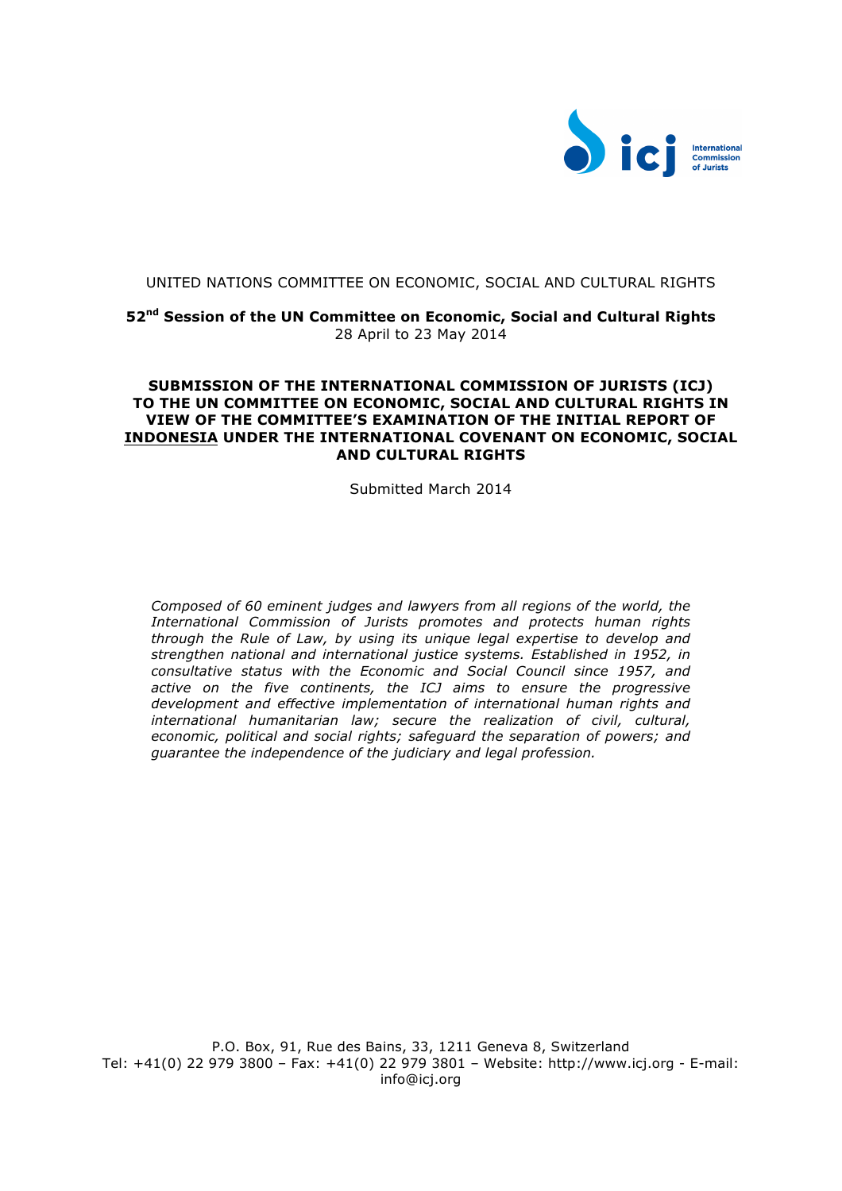

## UNITED NATIONS COMMITTEE ON ECONOMIC, SOCIAL AND CULTURAL RIGHTS

**52nd Session of the UN Committee on Economic, Social and Cultural Rights** 28 April to 23 May 2014

## **SUBMISSION OF THE INTERNATIONAL COMMISSION OF JURISTS (ICJ) TO THE UN COMMITTEE ON ECONOMIC, SOCIAL AND CULTURAL RIGHTS IN VIEW OF THE COMMITTEE'S EXAMINATION OF THE INITIAL REPORT OF INDONESIA UNDER THE INTERNATIONAL COVENANT ON ECONOMIC, SOCIAL AND CULTURAL RIGHTS**

Submitted March 2014

*Composed of 60 eminent judges and lawyers from all regions of the world, the International Commission of Jurists promotes and protects human rights through the Rule of Law, by using its unique legal expertise to develop and strengthen national and international justice systems. Established in 1952, in consultative status with the Economic and Social Council since 1957, and active on the five continents, the ICJ aims to ensure the progressive development and effective implementation of international human rights and international humanitarian law; secure the realization of civil, cultural, economic, political and social rights; safeguard the separation of powers; and guarantee the independence of the judiciary and legal profession.*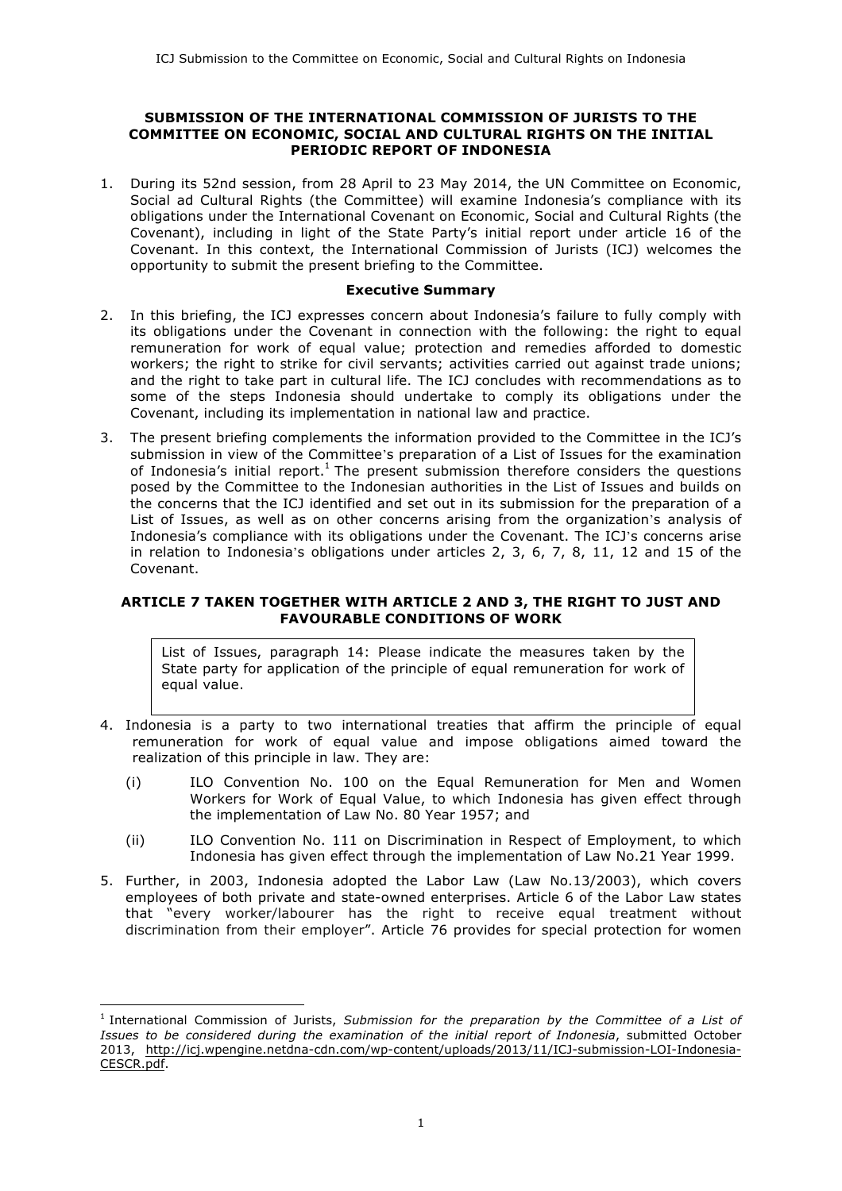### **SUBMISSION OF THE INTERNATIONAL COMMISSION OF JURISTS TO THE COMMITTEE ON ECONOMIC, SOCIAL AND CULTURAL RIGHTS ON THE INITIAL PERIODIC REPORT OF INDONESIA**

1. During its 52nd session, from 28 April to 23 May 2014, the UN Committee on Economic, Social ad Cultural Rights (the Committee) will examine Indonesia's compliance with its obligations under the International Covenant on Economic, Social and Cultural Rights (the Covenant), including in light of the State Party's initial report under article 16 of the Covenant. In this context, the International Commission of Jurists (ICJ) welcomes the opportunity to submit the present briefing to the Committee.

#### **Executive Summary**

- 2. In this briefing, the ICJ expresses concern about Indonesia's failure to fully comply with its obligations under the Covenant in connection with the following: the right to equal remuneration for work of equal value; protection and remedies afforded to domestic workers; the right to strike for civil servants; activities carried out against trade unions; and the right to take part in cultural life. The ICJ concludes with recommendations as to some of the steps Indonesia should undertake to comply its obligations under the Covenant, including its implementation in national law and practice.
- 3. The present briefing complements the information provided to the Committee in the ICJ's submission in view of the Committee's preparation of a List of Issues for the examination of Indonesia's initial report.<sup>1</sup> The present submission therefore considers the questions posed by the Committee to the Indonesian authorities in the List of Issues and builds on the concerns that the ICJ identified and set out in its submission for the preparation of a List of Issues, as well as on other concerns arising from the organization's analysis of Indonesia's compliance with its obligations under the Covenant. The ICJ's concerns arise in relation to Indonesia's obligations under articles 2, 3, 6, 7, 8, 11, 12 and 15 of the Covenant.

# **ARTICLE 7 TAKEN TOGETHER WITH ARTICLE 2 AND 3, THE RIGHT TO JUST AND FAVOURABLE CONDITIONS OF WORK**

List of Issues, paragraph 14: Please indicate the measures taken by the State party for application of the principle of equal remuneration for work of equal value.

- 4. Indonesia is a party to two international treaties that affirm the principle of equal remuneration for work of equal value and impose obligations aimed toward the realization of this principle in law. They are:
	- (i) ILO Convention No. 100 on the Equal Remuneration for Men and Women Workers for Work of Equal Value, to which Indonesia has given effect through the implementation of Law No. 80 Year 1957; and
	- (ii) ILO Convention No. 111 on Discrimination in Respect of Employment, to which Indonesia has given effect through the implementation of Law No.21 Year 1999.
- 5. Further, in 2003, Indonesia adopted the Labor Law (Law No.13/2003), which covers employees of both private and state-owned enterprises. Article 6 of the Labor Law states that "every worker/labourer has the right to receive equal treatment without discrimination from their employer". Article 76 provides for special protection for women

<sup>1</sup> International Commission of Jurists, *Submission for the preparation by the Committee of a List of Issues to be considered during the examination of the initial report of Indonesia*, submitted October 2013, http://icj.wpengine.netdna-cdn.com/wp-content/uploads/2013/11/ICJ-submission-LOI-Indonesia-CESCR.pdf.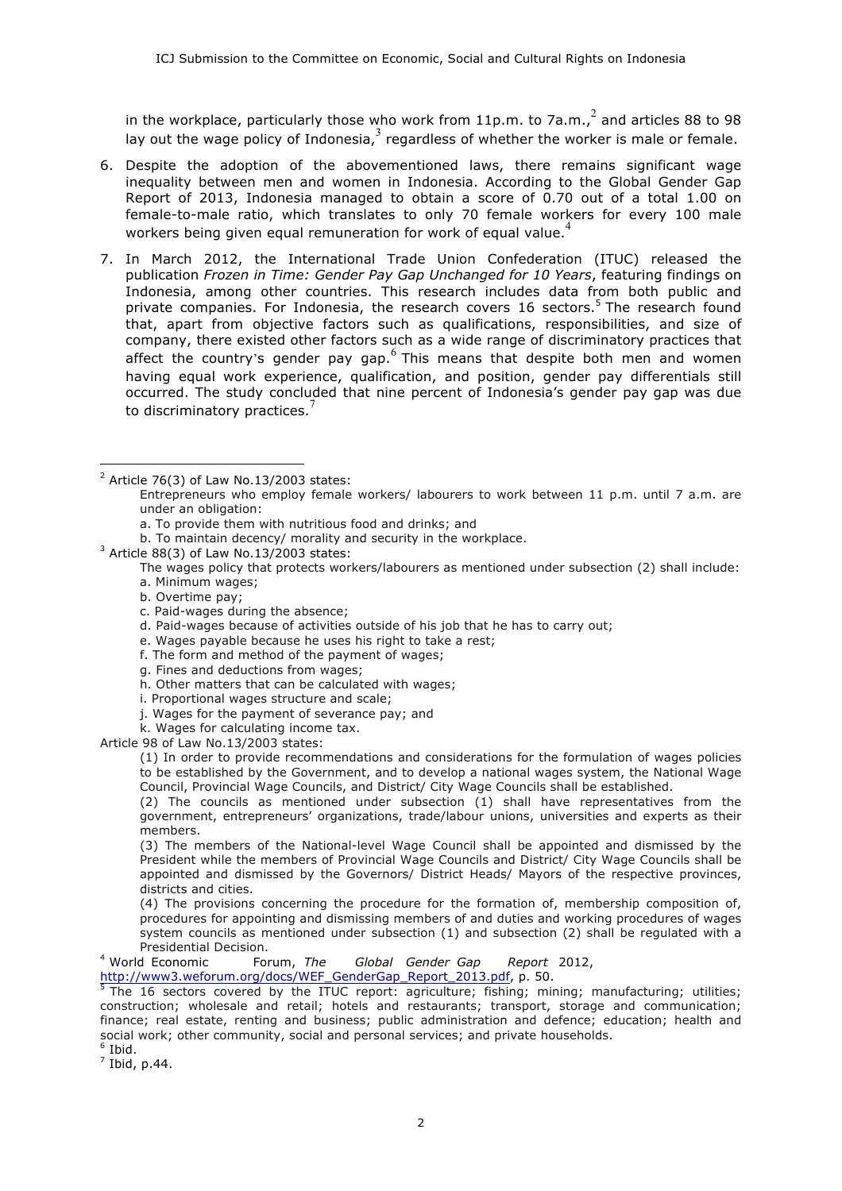in the workplace, particularly those who work from 11p.m. to 7a.m.,  $^2$  and articles 88 to 98 lay out the wage policy of Indonesia, $3$  regardless of whether the worker is male or female.

- 6. Despite the adoption of the abovementioned laws, there remains significant wage inequality between men and women in Indonesia. According to the Global Gender Gap Report of 2013, Indonesia managed to obtain a score of 0.70 out of a total 1.00 on female-to-male ratio, which translates to only 70 female workers for every 100 male workers being given equal remuneration for work of equal value.<sup>4</sup>
- 7. In March 2012, the International Trade Union Confederation (ITUC) released the publication *Frozen in Time: Gender Pay Gap Unchanged for 10 Years*, featuring findings on Indonesia, among other countries. This research includes data from both public and private companies. For Indonesia, the research covers 16 sectors.<sup>5</sup> The research found that, apart from objective factors such as qualifications, responsibilities, and size of company, there existed other factors such as a wide range of discriminatory practices that affect the country's gender pay gap.  $6$  This means that despite both men and women having equal work experience, qualification, and position, gender pay differentials still occurred. The study concluded that nine percent of Indonesia's gender pay gap was due to discriminatory practices. $<sup>7</sup>$ </sup>

 $\overline{a}$ 

- c. Paid-wages during the absence;
- d. Paid-wages because of activities outside of his job that he has to carry out;
- e. Wages payable because he uses his right to take a rest;
- f. The form and method of the payment of wages;
- g. Fines and deductions from wages;
- h. Other matters that can be calculated with wages;
- i. Proportional wages structure and scale;
- j. Wages for the payment of severance pay; and
- k. Wages for calculating income tax.

Article 98 of Law No.13/2003 states:

(1) In order to provide recommendations and considerations for the formulation of wages policies to be established by the Government, and to develop a national wages system, the National Wage Council, Provincial Wage Councils, and District/ City Wage Councils shall be established.

(2) The councils as mentioned under subsection (1) shall have representatives from the government, entrepreneurs' organizations, trade/labour unions, universities and experts as their members.

(3) The members of the National-level Wage Council shall be appointed and dismissed by the President while the members of Provincial Wage Councils and District/ City Wage Councils shall be appointed and dismissed by the Governors/ District Heads/ Mayors of the respective provinces, districts and cities.

(4) The provisions concerning the procedure for the formation of, membership composition of, procedures for appointing and dismissing members of and duties and working procedures of wages system councils as mentioned under subsection (1) and subsection (2) shall be regulated with a Presidential Decision.

<sup>4</sup> World Economic Forum, *The Global Gender Gap Report* 2012,

http://www3.weforum.org/docs/WEF\_GenderGap\_Report\_2013.pdf, p. 50.<br><sup>5</sup> The 16 sectors covered by the ITUC report: agriculture; fishing; mining; manufacturing; utilities; construction; wholesale and retail; hotels and restaurants; transport, storage and communication; finance; real estate, renting and business; public administration and defence; education; health and social work; other community, social and personal services; and private households. <sup>6</sup> Ibid.

 $\sqrt{7}$  Ibid, p.44.

 $2$  Article 76(3) of Law No.13/2003 states:

Entrepreneurs who employ female workers/ labourers to work between 11 p.m. until 7 a.m. are under an obligation:

a. To provide them with nutritious food and drinks; and

b. To maintain decency/ morality and security in the workplace.

 $3$  Article 88(3) of Law No.13/2003 states:

The wages policy that protects workers/labourers as mentioned under subsection (2) shall include:

a. Minimum wages;

b. Overtime pay;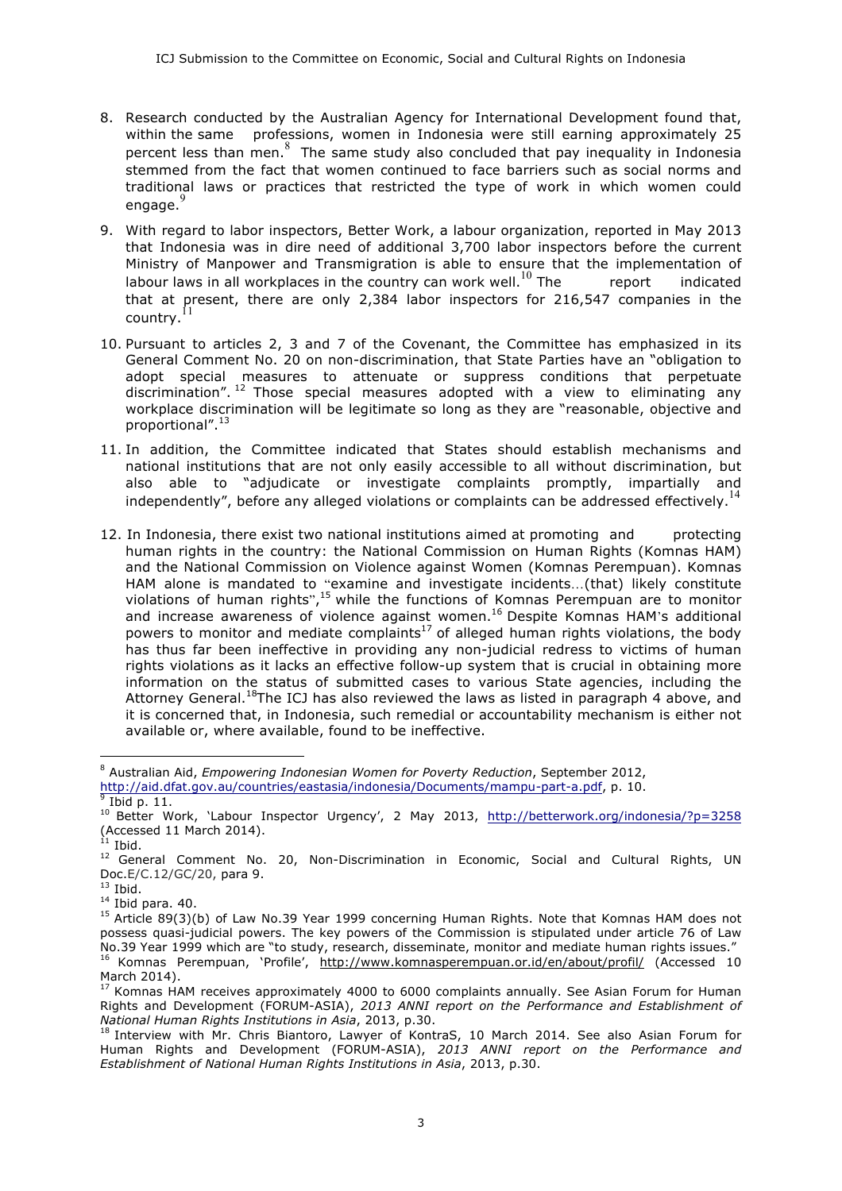- 8. Research conducted by the Australian Agency for International Development found that, within the same professions, women in Indonesia were still earning approximately 25 percent less than men. <sup>8</sup> The same study also concluded that pay inequality in Indonesia stemmed from the fact that women continued to face barriers such as social norms and traditional laws or practices that restricted the type of work in which women could engage. 9
- 9. With regard to labor inspectors, Better Work, a labour organization, reported in May 2013 that Indonesia was in dire need of additional 3,700 labor inspectors before the current Ministry of Manpower and Transmigration is able to ensure that the implementation of labour laws in all workplaces in the country can work well.<sup>10</sup> The report indicated that at present, there are only 2,384 labor inspectors for 216,547 companies in the country. $^{11}$
- 10. Pursuant to articles 2, 3 and 7 of the Covenant, the Committee has emphasized in its General Comment No. 20 on non-discrimination, that State Parties have an "obligation to adopt special measures to attenuate or suppress conditions that perpetuate discrimination".  $12$  Those special measures adopted with a view to eliminating any workplace discrimination will be legitimate so long as they are "reasonable, objective and proportional".<sup>13</sup>
- 11. In addition, the Committee indicated that States should establish mechanisms and national institutions that are not only easily accessible to all without discrimination, but also able to "adjudicate or investigate complaints promptly, impartially and independently", before any alleged violations or complaints can be addressed effectively.<sup>14</sup>
- 12. In Indonesia, there exist two national institutions aimed at promoting and protecting human rights in the country: the National Commission on Human Rights (Komnas HAM) and the National Commission on Violence against Women (Komnas Perempuan). Komnas HAM alone is mandated to "examine and investigate incidents…(that) likely constitute violations of human rights",<sup>15</sup> while the functions of Komnas Perempuan are to monitor and increase awareness of violence against women.16 Despite Komnas HAM's additional powers to monitor and mediate complaints<sup>17</sup> of alleged human rights violations, the body has thus far been ineffective in providing any non-judicial redress to victims of human rights violations as it lacks an effective follow-up system that is crucial in obtaining more information on the status of submitted cases to various State agencies, including the Attorney General.<sup>18</sup>The ICJ has also reviewed the laws as listed in paragraph 4 above, and it is concerned that, in Indonesia, such remedial or accountability mechanism is either not available or, where available, found to be ineffective.

 $\overline{a}$ <sup>8</sup> Australian Aid, *Empowering Indonesian Women for Poverty Reduction*, September 2012, http://aid.dfat.gov.au/countries/eastasia/indonesia/Documents/mampu-part-a.pdf, p. 10. <sup>9</sup> Ibid p. 11.

<sup>10</sup> Better Work, 'Labour Inspector Urgency', 2 May 2013, http://betterwork.org/indonesia/?p=3258 (Accessed 11 March 2014).  $i<sup>11</sup>$  Ibid.

<sup>&</sup>lt;sup>12</sup> General Comment No. 20, Non-Discrimination in Economic, Social and Cultural Rights, UN Doc.E/C.12/GC/20, para 9.

 $13$  Ibid.

 $14$  Ibid para. 40.

<sup>&</sup>lt;sup>15</sup> Article 89(3)(b) of Law No.39 Year 1999 concerning Human Rights. Note that Komnas HAM does not possess quasi-judicial powers. The key powers of the Commission is stipulated under article 76 of Law No.39 Year 1999 which are "to study, research, disseminate, monitor and mediate human rights issues." <sup>16</sup> Komnas Perempuan, 'Profile', http://www.komnasperempuan.or.id/en/about/profil/ (Accessed 10 March 2014).

<sup>17</sup> Komnas HAM receives approximately 4000 to 6000 complaints annually. See Asian Forum for Human Rights and Development (FORUM-ASIA), *2013 ANNI report on the Performance and Establishment of National Human Rights Institutions in Asia*, 2013, p.30.

<sup>&</sup>lt;sup>18</sup> Interview with Mr. Chris Biantoro, Lawyer of KontraS, 10 March 2014. See also Asian Forum for Human Rights and Development (FORUM-ASIA), *2013 ANNI report on the Performance and Establishment of National Human Rights Institutions in Asia*, 2013, p.30.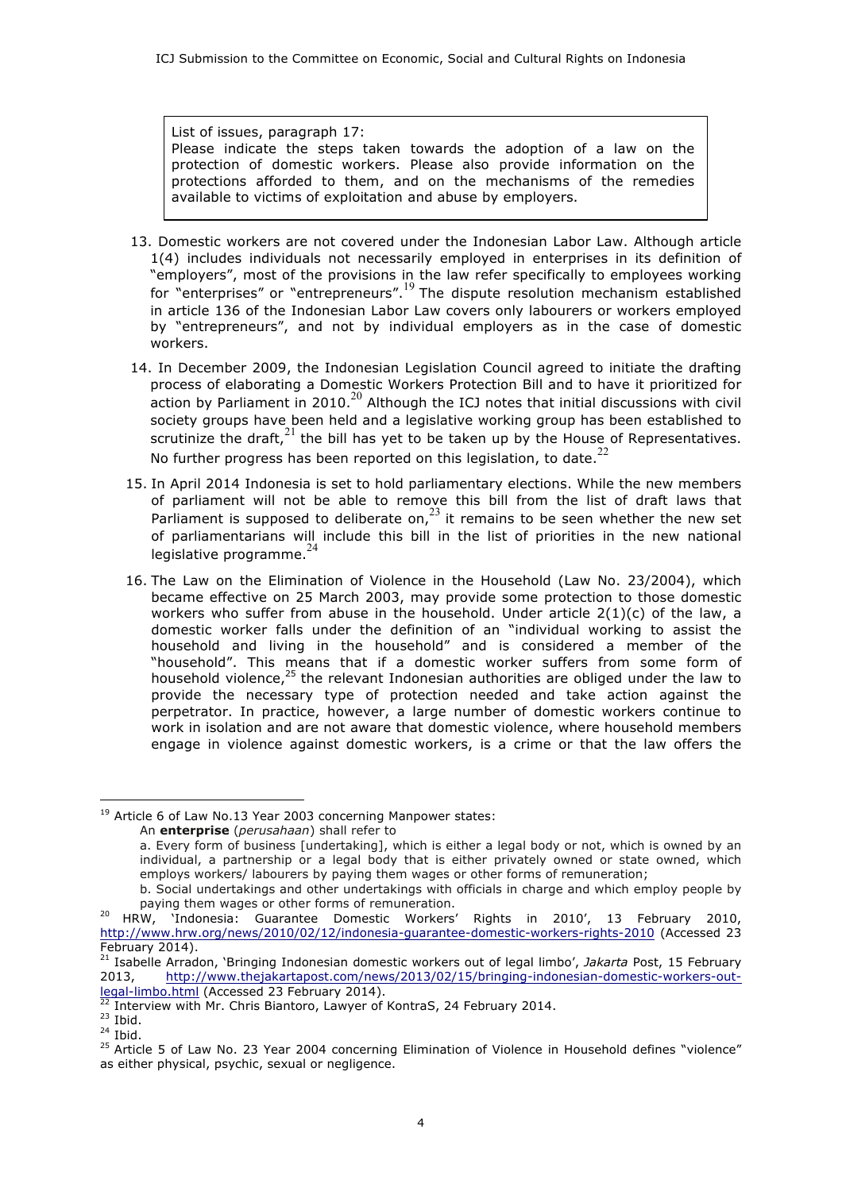List of issues, paragraph 17: Please indicate the steps taken towards the adoption of a law on the protection of domestic workers. Please also provide information on the protections afforded to them, and on the mechanisms of the remedies available to victims of exploitation and abuse by employers.

- 13. Domestic workers are not covered under the Indonesian Labor Law. Although article 1(4) includes individuals not necessarily employed in enterprises in its definition of "employers", most of the provisions in the law refer specifically to employees working for "enterprises" or "entrepreneurs".<sup>19</sup> The dispute resolution mechanism established in article 136 of the Indonesian Labor Law covers only labourers or workers employed by "entrepreneurs", and not by individual employers as in the case of domestic workers.
- 14. In December 2009, the Indonesian Legislation Council agreed to initiate the drafting process of elaborating a Domestic Workers Protection Bill and to have it prioritized for action by Parliament in 2010. $^{20}$  Although the ICJ notes that initial discussions with civil society groups have been held and a legislative working group has been established to scrutinize the draft, $21$  the bill has yet to be taken up by the House of Representatives. No further progress has been reported on this legislation, to date. $^{22}$
- 15. In April 2014 Indonesia is set to hold parliamentary elections. While the new members of parliament will not be able to remove this bill from the list of draft laws that Parliament is supposed to deliberate on,  $2<sup>3</sup>$  it remains to be seen whether the new set of parliamentarians will include this bill in the list of priorities in the new national legislative programme.<sup>24</sup>
- 16. The Law on the Elimination of Violence in the Household (Law No. 23/2004), which became effective on 25 March 2003, may provide some protection to those domestic workers who suffer from abuse in the household. Under article  $2(1)(c)$  of the law, a domestic worker falls under the definition of an "individual working to assist the household and living in the household" and is considered a member of the "household". This means that if a domestic worker suffers from some form of household violence,<sup>25</sup> the relevant Indonesian authorities are obliged under the law to provide the necessary type of protection needed and take action against the perpetrator. In practice, however, a large number of domestic workers continue to work in isolation and are not aware that domestic violence, where household members engage in violence against domestic workers, is a crime or that the law offers the

<sup>&</sup>lt;sup>19</sup> Article 6 of Law No.13 Year 2003 concerning Manpower states:

An **enterprise** (*perusahaan*) shall refer to

a. Every form of business [undertaking], which is either a legal body or not, which is owned by an individual, a partnership or a legal body that is either privately owned or state owned, which employs workers/ labourers by paying them wages or other forms of remuneration;

b. Social undertakings and other undertakings with officials in charge and which employ people by paying them wages or other forms of remuneration.

<sup>&</sup>lt;sup>20</sup> HRW, 'Indonesia: Guarantee Domestic Workers' Rights in 2010', 13 February 2010, http://www.hrw.org/news/2010/02/12/indonesia-guarantee-domestic-workers-rights-2010 (Accessed 23 February 2014).

<sup>21</sup> Isabelle Arradon, 'Bringing Indonesian domestic workers out of legal limbo', *Jakarta* Post, 15 February 2013, http://www.thejakartapost.com/news/2013/02/15/bringing-indonesian-domestic-workers-outlegal-limbo.html (Accessed 23 February 2014).

Interview with Mr. Chris Biantoro, Lawyer of KontraS, 24 February 2014.

 $23$  Ibid.

 $24$  Ibid.

<sup>&</sup>lt;sup>25</sup> Article 5 of Law No. 23 Year 2004 concerning Elimination of Violence in Household defines "violence" as either physical, psychic, sexual or negligence.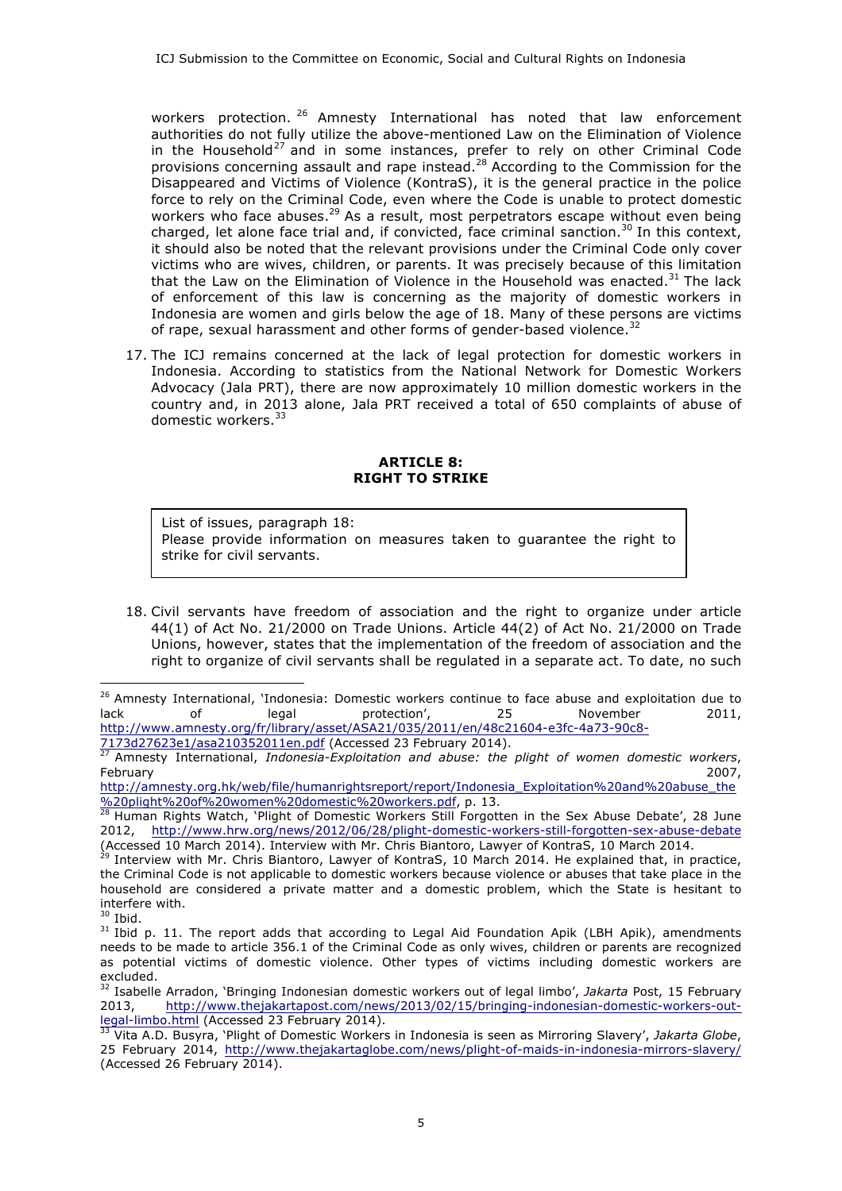workers protection.<sup>26</sup> Amnesty International has noted that law enforcement authorities do not fully utilize the above-mentioned Law on the Elimination of Violence in the Household<sup>27</sup> and in some instances, prefer to rely on other Criminal Code provisions concerning assault and rape instead.<sup>28</sup> According to the Commission for the Disappeared and Victims of Violence (KontraS), it is the general practice in the police force to rely on the Criminal Code, even where the Code is unable to protect domestic workers who face abuses.<sup>29</sup> As a result, most perpetrators escape without even being charged, let alone face trial and, if convicted, face criminal sanction.<sup>30</sup> In this context, it should also be noted that the relevant provisions under the Criminal Code only cover victims who are wives, children, or parents. It was precisely because of this limitation that the Law on the Elimination of Violence in the Household was enacted.<sup>31</sup> The lack of enforcement of this law is concerning as the majority of domestic workers in Indonesia are women and girls below the age of 18. Many of these persons are victims of rape, sexual harassment and other forms of gender-based violence.<sup>32</sup>

17. The ICJ remains concerned at the lack of legal protection for domestic workers in Indonesia. According to statistics from the National Network for Domestic Workers Advocacy (Jala PRT), there are now approximately 10 million domestic workers in the country and, in 2013 alone, Jala PRT received a total of 650 complaints of abuse of domestic workers.<sup>33</sup>

## **ARTICLE 8: RIGHT TO STRIKE**

List of issues, paragraph 18: Please provide information on measures taken to guarantee the right to strike for civil servants.

18. Civil servants have freedom of association and the right to organize under article 44(1) of Act No. 21/2000 on Trade Unions. Article 44(2) of Act No. 21/2000 on Trade Unions, however, states that the implementation of the freedom of association and the right to organize of civil servants shall be regulated in a separate act. To date, no such

<sup>&</sup>lt;sup>26</sup> Amnesty International, `Indonesia: Domestic workers continue to face abuse and exploitation due to lack of legal protection', 25 November 2011, http://www.amnesty.org/fr/library/asset/ASA21/035/2011/en/48c21604-e3fc-4a73-90c8-

<sup>7173</sup>d27623e1/asa210352011en.pdf (Accessed 23 February 2014).

<sup>27</sup> Amnesty International, *Indonesia-Exploitation and abuse: the plight of women domestic workers*, February 2007,

http://amnesty.org.hk/web/file/humanrightsreport/report/Indonesia\_Exploitation%20and%20abuse\_the %20plight%20of%20women%20domestic%20workers.pdf, p. 13.<br>28 Uuman Bishte Watch \Plight of Domestic Workers Still Eproptt

Human Rights Watch, 'Plight of Domestic Workers Still Forgotten in the Sex Abuse Debate', 28 June 2012, http://www.hrw.org/news/2012/06/28/plight-domestic-workers-still-forgotten-sex-abuse-debate (Accessed 10 March 2014). Interview with Mr. Chris Biantoro, Lawyer of KontraS, 10 March 2014.

<sup>&</sup>lt;sup>29</sup> Interview with Mr. Chris Biantoro, Lawyer of KontraS, 10 March 2014. He explained that, in practice, the Criminal Code is not applicable to domestic workers because violence or abuses that take place in the household are considered a private matter and a domestic problem, which the State is hesitant to interfere with.

 $30$  Ibid.

<sup>&</sup>lt;sup>31</sup> Ibid p. 11. The report adds that according to Legal Aid Foundation Apik (LBH Apik), amendments needs to be made to article 356.1 of the Criminal Code as only wives, children or parents are recognized as potential victims of domestic violence. Other types of victims including domestic workers are excluded.

<sup>32</sup> Isabelle Arradon, 'Bringing Indonesian domestic workers out of legal limbo', *Jakarta* Post, 15 February 2013, http://www.thejakartapost.com/news/2013/02/15/bringing-indonesian-domestic-workers-outlegal-limbo.html (Accessed 23 February 2014).

<sup>33</sup> Vita A.D. Busyra, 'Plight of Domestic Workers in Indonesia is seen as Mirroring Slavery', *Jakarta Globe*, 25 February 2014, http://www.thejakartaglobe.com/news/plight-of-maids-in-indonesia-mirrors-slavery/ (Accessed 26 February 2014).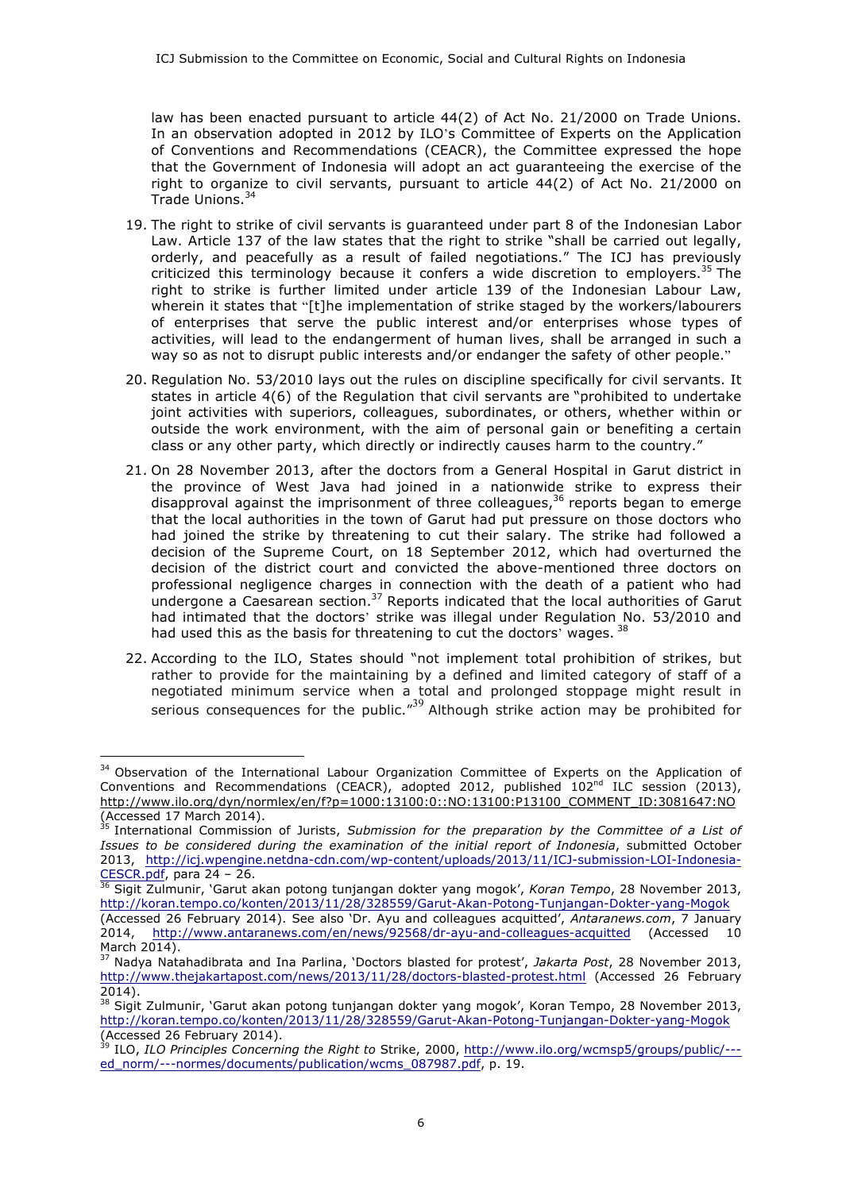law has been enacted pursuant to article 44(2) of Act No. 21/2000 on Trade Unions. In an observation adopted in 2012 by ILO's Committee of Experts on the Application of Conventions and Recommendations (CEACR), the Committee expressed the hope that the Government of Indonesia will adopt an act guaranteeing the exercise of the right to organize to civil servants, pursuant to article 44(2) of Act No. 21/2000 on Trade Unions.<sup>34</sup>

- 19. The right to strike of civil servants is guaranteed under part 8 of the Indonesian Labor Law. Article 137 of the law states that the right to strike "shall be carried out legally, orderly, and peacefully as a result of failed negotiations." The ICJ has previously criticized this terminology because it confers a wide discretion to employers.<sup>35</sup> The right to strike is further limited under article 139 of the Indonesian Labour Law, wherein it states that "[t]he implementation of strike staged by the workers/labourers of enterprises that serve the public interest and/or enterprises whose types of activities, will lead to the endangerment of human lives, shall be arranged in such a way so as not to disrupt public interests and/or endanger the safety of other people."
- 20. Regulation No. 53/2010 lays out the rules on discipline specifically for civil servants. It states in article 4(6) of the Regulation that civil servants are "prohibited to undertake joint activities with superiors, colleagues, subordinates, or others, whether within or outside the work environment, with the aim of personal gain or benefiting a certain class or any other party, which directly or indirectly causes harm to the country."
- 21. On 28 November 2013, after the doctors from a General Hospital in Garut district in the province of West Java had joined in a nationwide strike to express their disapproval against the imprisonment of three colleagues,  $36$  reports began to emerge that the local authorities in the town of Garut had put pressure on those doctors who had joined the strike by threatening to cut their salary. The strike had followed a decision of the Supreme Court, on 18 September 2012, which had overturned the decision of the district court and convicted the above-mentioned three doctors on professional negligence charges in connection with the death of a patient who had undergone a Caesarean section.<sup>37</sup> Reports indicated that the local authorities of Garut had intimated that the doctors' strike was illegal under Regulation No. 53/2010 and had used this as the basis for threatening to cut the doctors' wages. 38
- 22. According to the ILO, States should "not implement total prohibition of strikes, but rather to provide for the maintaining by a defined and limited category of staff of a negotiated minimum service when a total and prolonged stoppage might result in serious consequences for the public."<sup>39</sup> Although strike action may be prohibited for

<sup>&</sup>lt;sup>34</sup> Observation of the International Labour Organization Committee of Experts on the Application of Conventions and Recommendations (CEACR), adopted 2012, published  $102<sup>nd</sup> ILC$  session (2013), http://www.ilo.org/dyn/normlex/en/f?p=1000:13100:0::NO:13100:P13100\_COMMENT\_ID:3081647:NO (Accessed 17 March 2014).

<sup>35</sup> International Commission of Jurists, *Submission for the preparation by the Committee of a List of Issues to be considered during the examination of the initial report of Indonesia*, submitted October 2013, http://icj.wpengine.netdna-cdn.com/wp-content/uploads/2013/11/ICJ-submission-LOI-Indonesia-CESCR.pdf, para 24 – 26.

<sup>36</sup> Sigit Zulmunir, 'Garut akan potong tunjangan dokter yang mogok', *Koran Tempo*, 28 November 2013, http://koran.tempo.co/konten/2013/11/28/328559/Garut-Akan-Potong-Tunjangan-Dokter-yang-Mogok (Accessed 26 February 2014). See also 'Dr. Ayu and colleagues acquitted', *Antaranews.com*, 7 January

<sup>2014,</sup> http://www.antaranews.com/en/news/92568/dr-ayu-and-colleagues-acquitted (Accessed 10 March 2014).

<sup>37</sup> Nadya Natahadibrata and Ina Parlina, 'Doctors blasted for protest', *Jakarta Post*, 28 November 2013, http://www.thejakartapost.com/news/2013/11/28/doctors-blasted-protest.html (Accessed 26 February 2014).

<sup>&</sup>lt;sup>38</sup> Sigit Zulmunir, 'Garut akan potong tunjangan dokter yang mogok', Koran Tempo, 28 November 2013, http://koran.tempo.co/konten/2013/11/28/328559/Garut-Akan-Potong-Tunjangan-Dokter-yang-Mogok (Accessed 26 February 2014).

<sup>39</sup> ILO, *ILO Principles Concerning the Right to* Strike, 2000, http://www.ilo.org/wcmsp5/groups/public/-- ed\_norm/---normes/documents/publication/wcms\_087987.pdf, p. 19.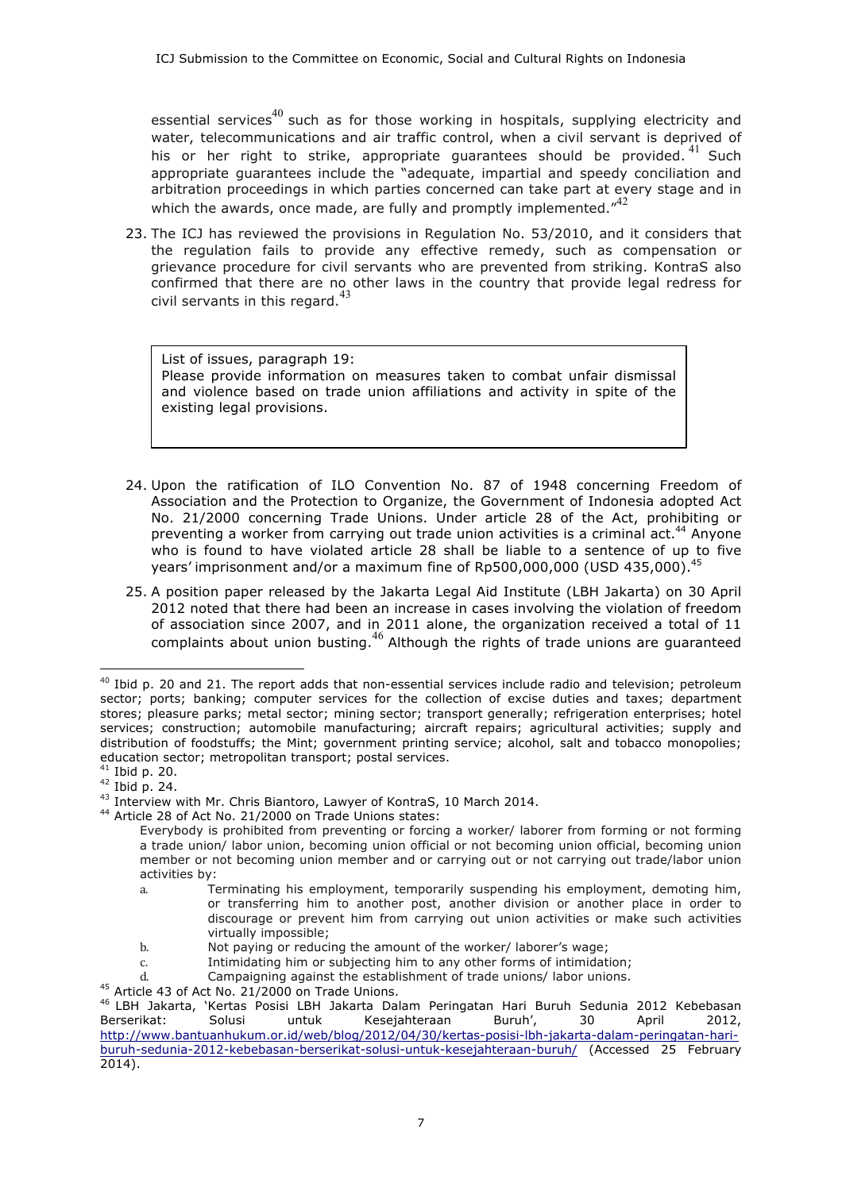essential services<sup>40</sup> such as for those working in hospitals, supplying electricity and water, telecommunications and air traffic control, when a civil servant is deprived of his or her right to strike, appropriate quarantees should be provided. <sup>41</sup> Such appropriate guarantees include the "adequate, impartial and speedy conciliation and arbitration proceedings in which parties concerned can take part at every stage and in which the awards, once made, are fully and promptly implemented. $142$ 

23. The ICJ has reviewed the provisions in Regulation No. 53/2010, and it considers that the regulation fails to provide any effective remedy, such as compensation or grievance procedure for civil servants who are prevented from striking. KontraS also confirmed that there are no other laws in the country that provide legal redress for civil servants in this regard. $^{43}$ 

List of issues, paragraph 19: Please provide information on measures taken to combat unfair dismissal and violence based on trade union affiliations and activity in spite of the existing legal provisions.

- 24. Upon the ratification of ILO Convention No. 87 of 1948 concerning Freedom of Association and the Protection to Organize, the Government of Indonesia adopted Act No. 21/2000 concerning Trade Unions. Under article 28 of the Act, prohibiting or preventing a worker from carrying out trade union activities is a criminal act.<sup>44</sup> Anyone who is found to have violated article 28 shall be liable to a sentence of up to five years' imprisonment and/or a maximum fine of Rp500,000,000 (USD 435.000).
- 25. A position paper released by the Jakarta Legal Aid Institute (LBH Jakarta) on 30 April 2012 noted that there had been an increase in cases involving the violation of freedom of association since 2007, and in 2011 alone, the organization received a total of 11 complaints about union busting.<sup>46</sup> Although the rights of trade unions are guaranteed

 $\overline{a}$ 

<sup>44</sup> Article 28 of Act No. 21/2000 on Trade Unions states:

 $40$  Ibid p. 20 and 21. The report adds that non-essential services include radio and television; petroleum sector; ports; banking; computer services for the collection of excise duties and taxes; department stores; pleasure parks; metal sector; mining sector; transport generally; refrigeration enterprises; hotel services; construction; automobile manufacturing; aircraft repairs; agricultural activities; supply and distribution of foodstuffs; the Mint; government printing service; alcohol, salt and tobacco monopolies; education sector; metropolitan transport; postal services.

 $41$  Ibid p. 20.

 $42$  Ibid p. 24.

 $43$  Interview with Mr. Chris Biantoro, Lawyer of KontraS, 10 March 2014.

Everybody is prohibited from preventing or forcing a worker/ laborer from forming or not forming a trade union/ labor union, becoming union official or not becoming union official, becoming union member or not becoming union member and or carrying out or not carrying out trade/labor union activities by:

a. Terminating his employment, temporarily suspending his employment, demoting him, or transferring him to another post, another division or another place in order to discourage or prevent him from carrying out union activities or make such activities virtually impossible;

b. Not paying or reducing the amount of the worker/ laborer's wage;

c. Intimidating him or subjecting him to any other forms of intimidation;

d. Campaigning against the establishment of trade unions/ labor unions.

<sup>45</sup> Article 43 of Act No. 21/2000 on Trade Unions.

<sup>46</sup> LBH Jakarta, 'Kertas Posisi LBH Jakarta Dalam Peringatan Hari Buruh Sedunia 2012 Kebebasan Berserikat: Solusi untuk Kesejahteraan Buruh', 30 April 2012, http://www.bantuanhukum.or.id/web/blog/2012/04/30/kertas-posisi-lbh-jakarta-dalam-peringatan-hariburuh-sedunia-2012-kebebasan-berserikat-solusi-untuk-kesejahteraan-buruh/ (Accessed 25 February 2014).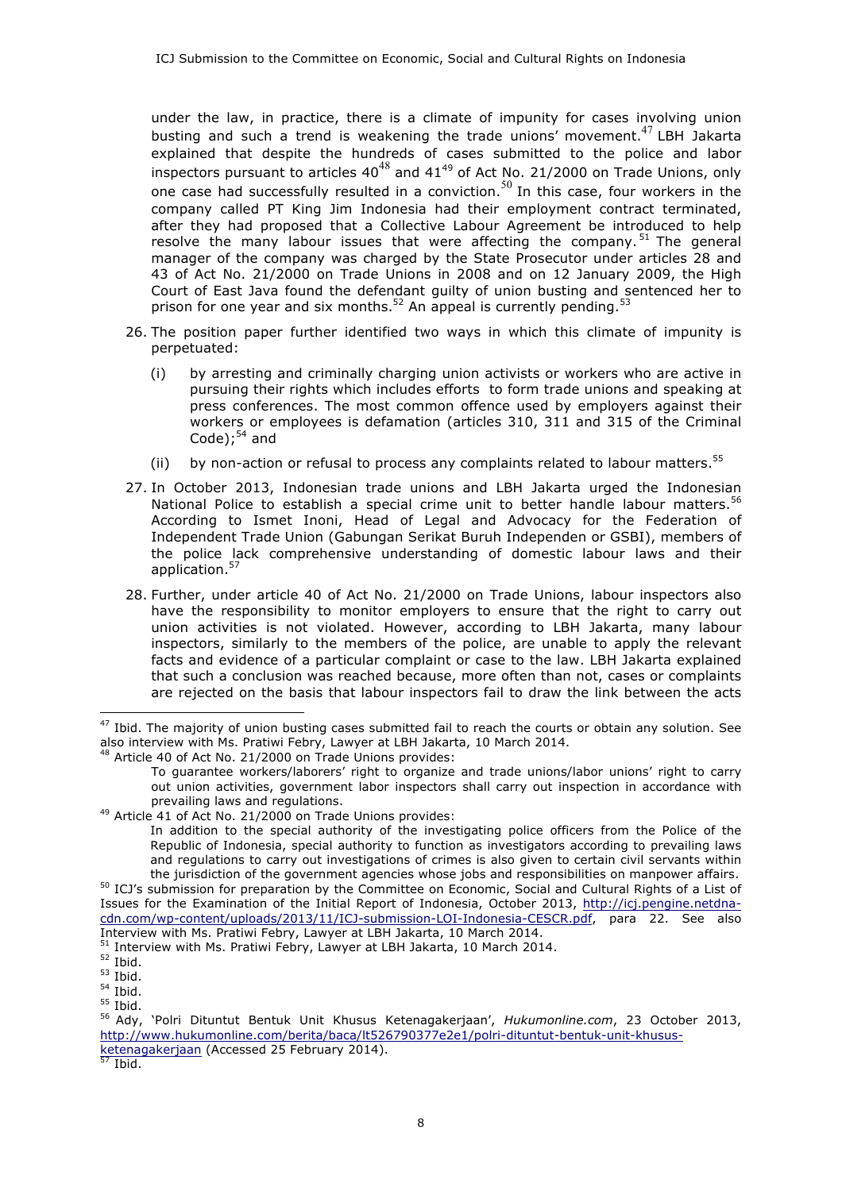under the law, in practice, there is a climate of impunity for cases involving union busting and such a trend is weakening the trade unions' movement.<sup>47</sup> LBH Jakarta explained that despite the hundreds of cases submitted to the police and labor inspectors pursuant to articles  $40^{48}$  and  $41^{49}$  of Act No. 21/2000 on Trade Unions, only one case had successfully resulted in a conviction.<sup>50</sup> In this case, four workers in the company called PT King Jim Indonesia had their employment contract terminated, after they had proposed that a Collective Labour Agreement be introduced to help resolve the many labour issues that were affecting the company.  $51$  The general manager of the company was charged by the State Prosecutor under articles 28 and 43 of Act No. 21/2000 on Trade Unions in 2008 and on 12 January 2009, the High Court of East Java found the defendant guilty of union busting and sentenced her to prison for one year and six months.<sup>52</sup> An appeal is currently pending.<sup>53</sup>

- 26. The position paper further identified two ways in which this climate of impunity is perpetuated:
	- (i) by arresting and criminally charging union activists or workers who are active in pursuing their rights which includes efforts to form trade unions and speaking at press conferences. The most common offence used by employers against their workers or employees is defamation (articles 310, 311 and 315 of the Criminal Code);<sup>54</sup> and
	- (ii) by non-action or refusal to process any complaints related to labour matters.<sup>55</sup>
- 27. In October 2013, Indonesian trade unions and LBH Jakarta urged the Indonesian National Police to establish a special crime unit to better handle labour matters.<sup>56</sup> According to Ismet Inoni, Head of Legal and Advocacy for the Federation of Independent Trade Union (Gabungan Serikat Buruh Independen or GSBI), members of the police lack comprehensive understanding of domestic labour laws and their application.<sup>57</sup>
- 28. Further, under article 40 of Act No. 21/2000 on Trade Unions, labour inspectors also have the responsibility to monitor employers to ensure that the right to carry out union activities is not violated. However, according to LBH Jakarta, many labour inspectors, similarly to the members of the police, are unable to apply the relevant facts and evidence of a particular complaint or case to the law. LBH Jakarta explained that such a conclusion was reached because, more often than not, cases or complaints are rejected on the basis that labour inspectors fail to draw the link between the acts

 $\overline{a}$ 

Ibid.

 $47$  Ibid. The majority of union busting cases submitted fail to reach the courts or obtain any solution. See also interview with Ms. Pratiwi Febry, Lawyer at LBH Jakarta, 10 March 2014.

 $3$  Article 40 of Act No. 21/2000 on Trade Unions provides:

To guarantee workers/laborers' right to organize and trade unions/labor unions' right to carry out union activities, government labor inspectors shall carry out inspection in accordance with

prevailing laws and regulations.<br><sup>49</sup> Article 41 of Act No. 21/2000 on Trade Unions provides:

In addition to the special authority of the investigating police officers from the Police of the Republic of Indonesia, special authority to function as investigators according to prevailing laws and regulations to carry out investigations of crimes is also given to certain civil servants within the jurisdiction of the government agencies whose jobs and responsibilities on manpower affairs.

<sup>50</sup> ICJ's submission for preparation by the Committee on Economic, Social and Cultural Rights of a List of Issues for the Examination of the Initial Report of Indonesia, October 2013, http://icj.pengine.netdnacdn.com/wp-content/uploads/2013/11/ICJ-submission-LOI-Indonesia-CESCR.pdf, para 22. See also Interview with Ms. Pratiwi Febry, Lawyer at LBH Jakarta, 10 March 2014.

Interview with Ms. Pratiwi Febry, Lawyer at LBH Jakarta, 10 March 2014.

 $52$  Ibid.

 $53$  Ibid.

 $54$  Ibid.

 $55$  Ibid.

<sup>56</sup> Ady, 'Polri Dituntut Bentuk Unit Khusus Ketenagakerjaan', *Hukumonline.com*, 23 October 2013, http://www.hukumonline.com/berita/baca/lt526790377e2e1/polri-dituntut-bentuk-unit-khususketenagakerjaan (Accessed 25 February 2014).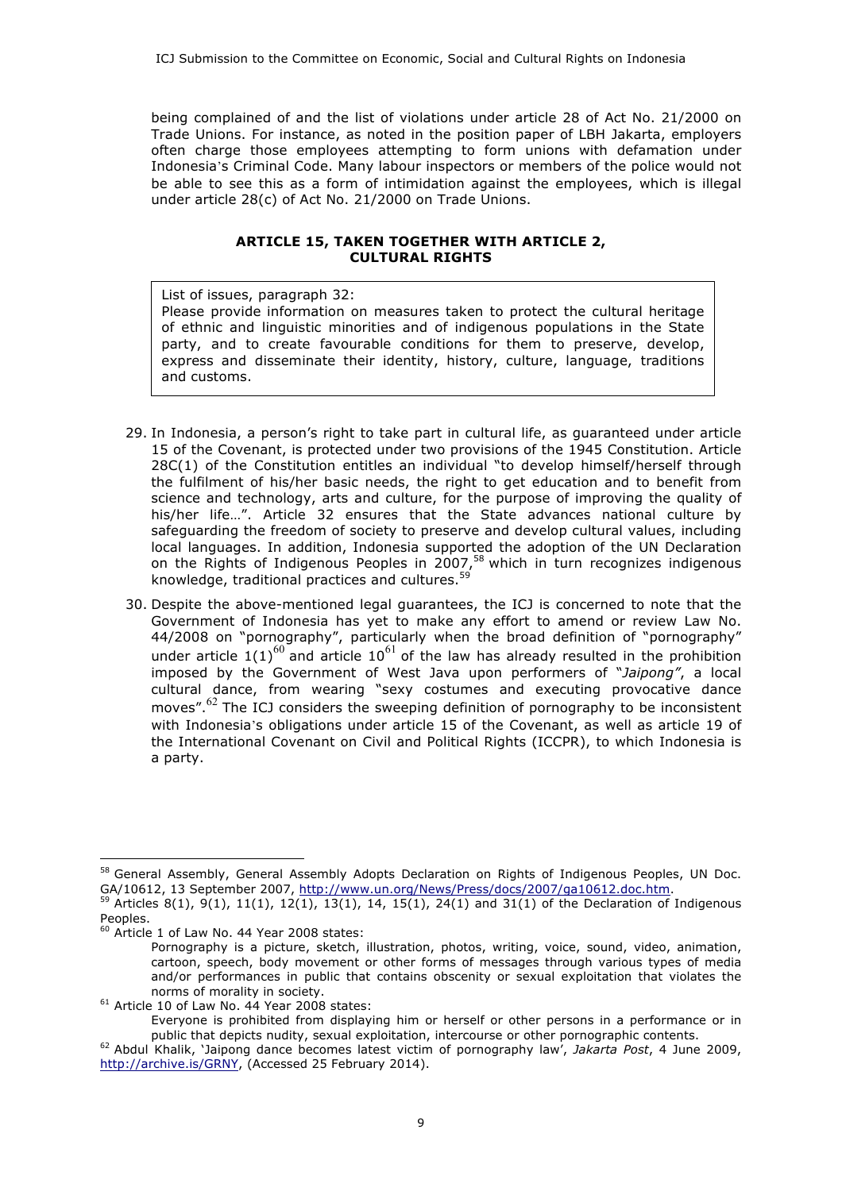being complained of and the list of violations under article 28 of Act No. 21/2000 on Trade Unions. For instance, as noted in the position paper of LBH Jakarta, employers often charge those employees attempting to form unions with defamation under Indonesia's Criminal Code. Many labour inspectors or members of the police would not be able to see this as a form of intimidation against the employees, which is illegal under article 28(c) of Act No. 21/2000 on Trade Unions.

# **ARTICLE 15, TAKEN TOGETHER WITH ARTICLE 2, CULTURAL RIGHTS**

List of issues, paragraph 32: Please provide information on measures taken to protect the cultural heritage of ethnic and linguistic minorities and of indigenous populations in the State party, and to create favourable conditions for them to preserve, develop, express and disseminate their identity, history, culture, language, traditions and customs.

- 29. In Indonesia, a person's right to take part in cultural life, as guaranteed under article 15 of the Covenant, is protected under two provisions of the 1945 Constitution. Article 28C(1) of the Constitution entitles an individual "to develop himself/herself through the fulfilment of his/her basic needs, the right to get education and to benefit from science and technology, arts and culture, for the purpose of improving the quality of his/her life…". Article 32 ensures that the State advances national culture by safeguarding the freedom of society to preserve and develop cultural values, including local languages. In addition, Indonesia supported the adoption of the UN Declaration on the Rights of Indigenous Peoples in 2007,<sup>58</sup> which in turn recognizes indigenous knowledge, traditional practices and cultures.<sup>59</sup>
- 30. Despite the above-mentioned legal guarantees, the ICJ is concerned to note that the Government of Indonesia has yet to make any effort to amend or review Law No. 44/2008 on "pornography", particularly when the broad definition of "pornography" under article  $1(1)^{60}$  and article  $10^{61}$  of the law has already resulted in the prohibition imposed by the Government of West Java upon performers of "*Jaipong"*, a local cultural dance, from wearing "sexy costumes and executing provocative dance moves". <sup>62</sup> The ICJ considers the sweeping definition of pornography to be inconsistent with Indonesia's obligations under article 15 of the Covenant, as well as article 19 of the International Covenant on Civil and Political Rights (ICCPR), to which Indonesia is a party.

<sup>&</sup>lt;sup>58</sup> General Assembly, General Assembly Adopts Declaration on Rights of Indigenous Peoples, UN Doc. GA/10612, 13 September 2007, http://www.un.org/News/Press/docs/2007/ga10612.doc.htm.

 $^{59}$  Articles 8(1), 9(1), 11(1), 12(1), 13(1), 14, 15(1), 24(1) and 31(1) of the Declaration of Indigenous Peoples.

 $^{\circ}$  Article 1 of Law No. 44 Year 2008 states:

Pornography is a picture, sketch, illustration, photos, writing, voice, sound, video, animation, cartoon, speech, body movement or other forms of messages through various types of media and/or performances in public that contains obscenity or sexual exploitation that violates the norms of morality in society.

 $61$  Article 10 of Law No.  $44$  Year 2008 states:

Everyone is prohibited from displaying him or herself or other persons in a performance or in public that depicts nudity, sexual exploitation, intercourse or other pornographic contents.

<sup>62</sup> Abdul Khalik, 'Jaipong dance becomes latest victim of pornography law', *Jakarta Post*, 4 June 2009, http://archive.is/GRNY, (Accessed 25 February 2014).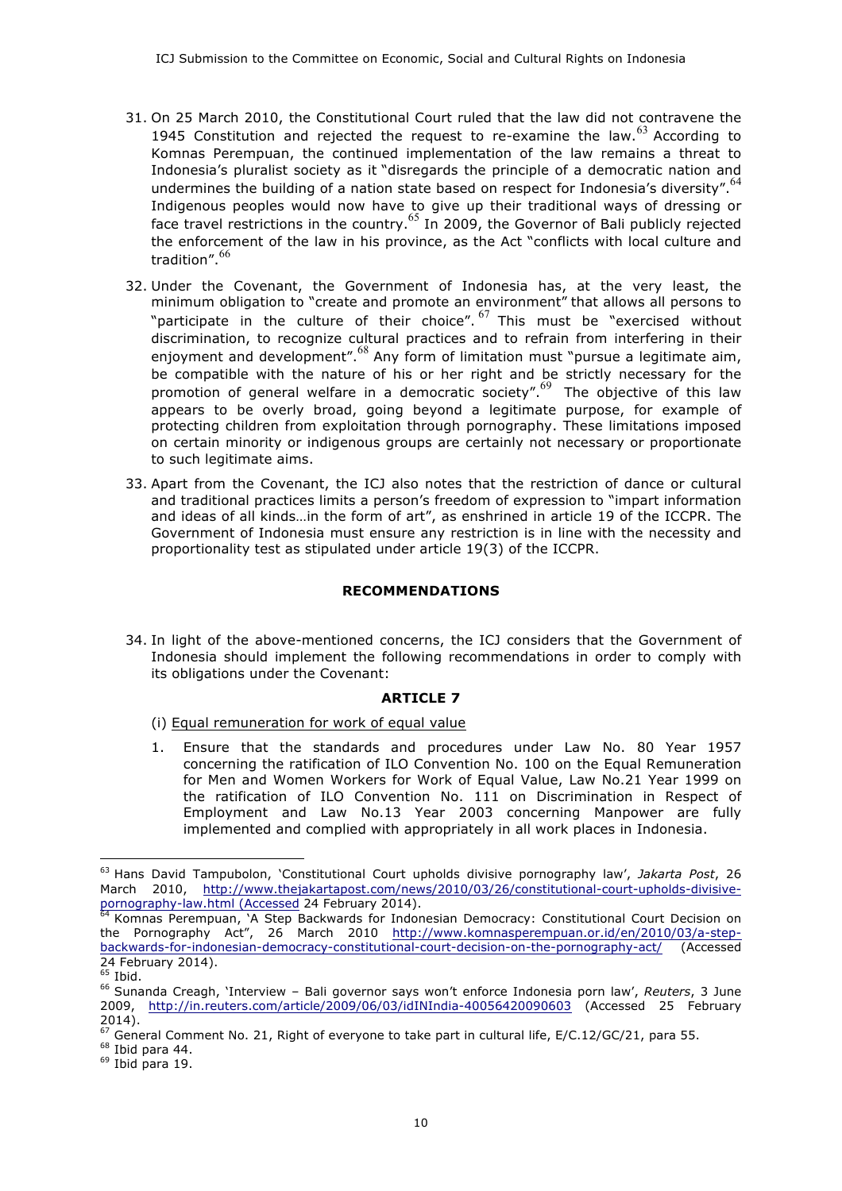- 31. On 25 March 2010, the Constitutional Court ruled that the law did not contravene the 1945 Constitution and rejected the request to re-examine the law.  $63$  According to Komnas Perempuan, the continued implementation of the law remains a threat to Indonesia's pluralist society as it "disregards the principle of a democratic nation and undermines the building of a nation state based on respect for Indonesia's diversity". <sup>64</sup> Indigenous peoples would now have to give up their traditional ways of dressing or face travel restrictions in the country.<sup>65</sup> In 2009, the Governor of Bali publicly rejected the enforcement of the law in his province, as the Act "conflicts with local culture and tradition". 66
- 32. Under the Covenant, the Government of Indonesia has, at the very least, the minimum obligation to "create and promote an environment" that allows all persons to "participate in the culture of their choice".  $^{67}$  This must be "exercised without discrimination, to recognize cultural practices and to refrain from interfering in their enjoyment and development".<sup>68</sup> Any form of limitation must "pursue a legitimate aim, be compatible with the nature of his or her right and be strictly necessary for the promotion of general welfare in a democratic society". <sup>69</sup> The objective of this law appears to be overly broad, going beyond a legitimate purpose, for example of protecting children from exploitation through pornography. These limitations imposed on certain minority or indigenous groups are certainly not necessary or proportionate to such legitimate aims.
- 33. Apart from the Covenant, the ICJ also notes that the restriction of dance or cultural and traditional practices limits a person's freedom of expression to "impart information and ideas of all kinds…in the form of art", as enshrined in article 19 of the ICCPR. The Government of Indonesia must ensure any restriction is in line with the necessity and proportionality test as stipulated under article 19(3) of the ICCPR.

# **RECOMMENDATIONS**

34. In light of the above-mentioned concerns, the ICJ considers that the Government of Indonesia should implement the following recommendations in order to comply with its obligations under the Covenant:

# **ARTICLE 7**

- (i) Equal remuneration for work of equal value
- 1. Ensure that the standards and procedures under Law No. 80 Year 1957 concerning the ratification of ILO Convention No. 100 on the Equal Remuneration for Men and Women Workers for Work of Equal Value, Law No.21 Year 1999 on the ratification of ILO Convention No. 111 on Discrimination in Respect of Employment and Law No.13 Year 2003 concerning Manpower are fully implemented and complied with appropriately in all work places in Indonesia.

<sup>63</sup> Hans David Tampubolon, 'Constitutional Court upholds divisive pornography law', *Jakarta Post*, 26 March 2010, http://www.thejakartapost.com/news/2010/03/26/constitutional-court-upholds-divisivepornography-law.html (Accessed 24 February 2014).

<sup>&</sup>lt;sup>64</sup> Komnas Perempuan, 'A Step Backwards for Indonesian Democracy: Constitutional Court Decision on the Pornography Act", 26 March 2010 http://www.komnasperempuan.or.id/en/2010/03/a-stepbackwards-for-indonesian-democracy-constitutional-court-decision-on-the-pornography-act/ (Accessed 24 February 2014).

 $\overline{65}$  Ibid.

<sup>66</sup> Sunanda Creagh, 'Interview – Bali governor says won't enforce Indonesia porn law', *Reuters*, 3 June 2009, http://in.reuters.com/article/2009/06/03/idINIndia-40056420090603 (Accessed 25 February 2014).

 $\frac{67}{2}$  General Comment No. 21, Right of everyone to take part in cultural life, E/C.12/GC/21, para 55.

 $68$  Ibid para 44.

 $69$  Ibid para 19.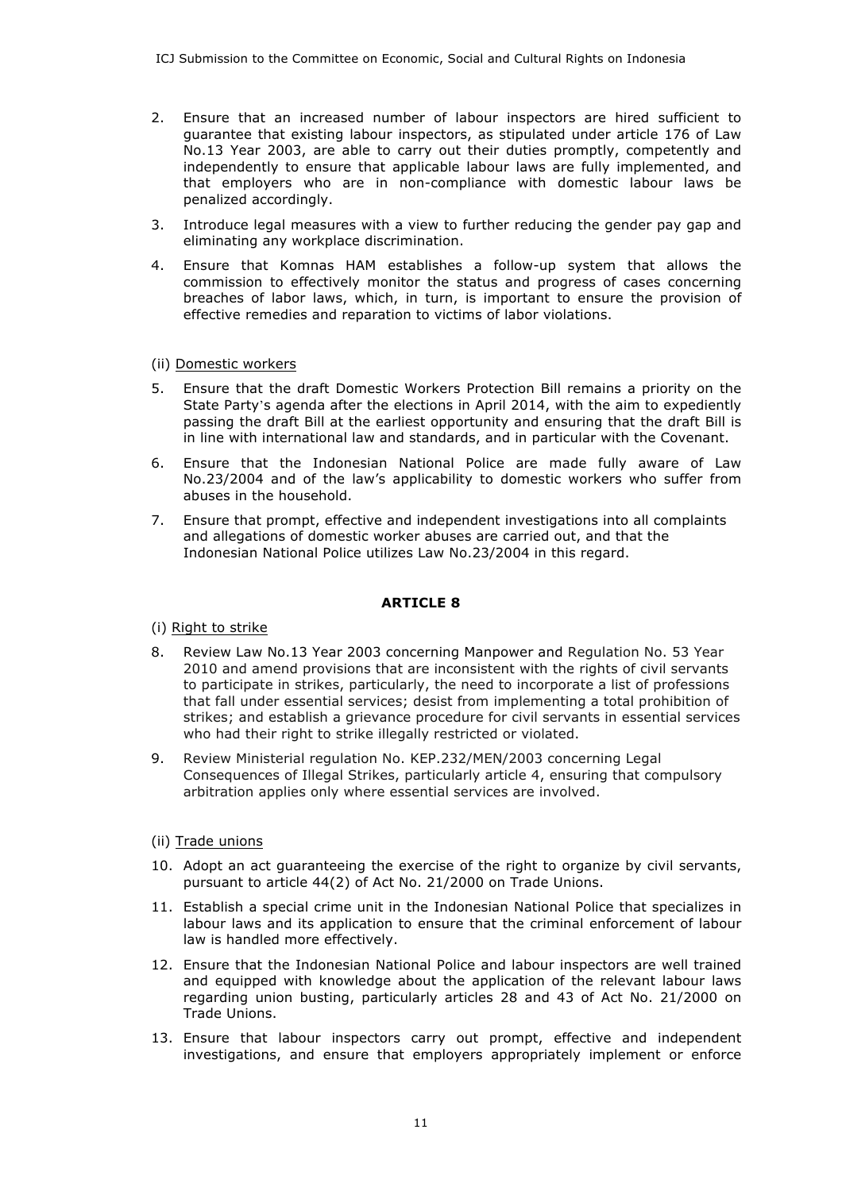- 2. Ensure that an increased number of labour inspectors are hired sufficient to guarantee that existing labour inspectors, as stipulated under article 176 of Law No.13 Year 2003, are able to carry out their duties promptly, competently and independently to ensure that applicable labour laws are fully implemented, and that employers who are in non-compliance with domestic labour laws be penalized accordingly.
- 3. Introduce legal measures with a view to further reducing the gender pay gap and eliminating any workplace discrimination.
- 4. Ensure that Komnas HAM establishes a follow-up system that allows the commission to effectively monitor the status and progress of cases concerning breaches of labor laws, which, in turn, is important to ensure the provision of effective remedies and reparation to victims of labor violations.

# (ii) Domestic workers

- 5. Ensure that the draft Domestic Workers Protection Bill remains a priority on the State Party's agenda after the elections in April 2014, with the aim to expediently passing the draft Bill at the earliest opportunity and ensuring that the draft Bill is in line with international law and standards, and in particular with the Covenant.
- 6. Ensure that the Indonesian National Police are made fully aware of Law No.23/2004 and of the law's applicability to domestic workers who suffer from abuses in the household.
- 7. Ensure that prompt, effective and independent investigations into all complaints and allegations of domestic worker abuses are carried out, and that the Indonesian National Police utilizes Law No.23/2004 in this regard.

# **ARTICLE 8**

(i) Right to strike

- 8. Review Law No.13 Year 2003 concerning Manpower and Regulation No. 53 Year 2010 and amend provisions that are inconsistent with the rights of civil servants to participate in strikes, particularly, the need to incorporate a list of professions that fall under essential services; desist from implementing a total prohibition of strikes; and establish a grievance procedure for civil servants in essential services who had their right to strike illegally restricted or violated.
- 9. Review Ministerial regulation No. KEP.232/MEN/2003 concerning Legal Consequences of Illegal Strikes, particularly article 4, ensuring that compulsory arbitration applies only where essential services are involved.
- (ii) Trade unions
- 10. Adopt an act guaranteeing the exercise of the right to organize by civil servants, pursuant to article 44(2) of Act No. 21/2000 on Trade Unions.
- 11. Establish a special crime unit in the Indonesian National Police that specializes in labour laws and its application to ensure that the criminal enforcement of labour law is handled more effectively.
- 12. Ensure that the Indonesian National Police and labour inspectors are well trained and equipped with knowledge about the application of the relevant labour laws regarding union busting, particularly articles 28 and 43 of Act No. 21/2000 on Trade Unions.
- 13. Ensure that labour inspectors carry out prompt, effective and independent investigations, and ensure that employers appropriately implement or enforce